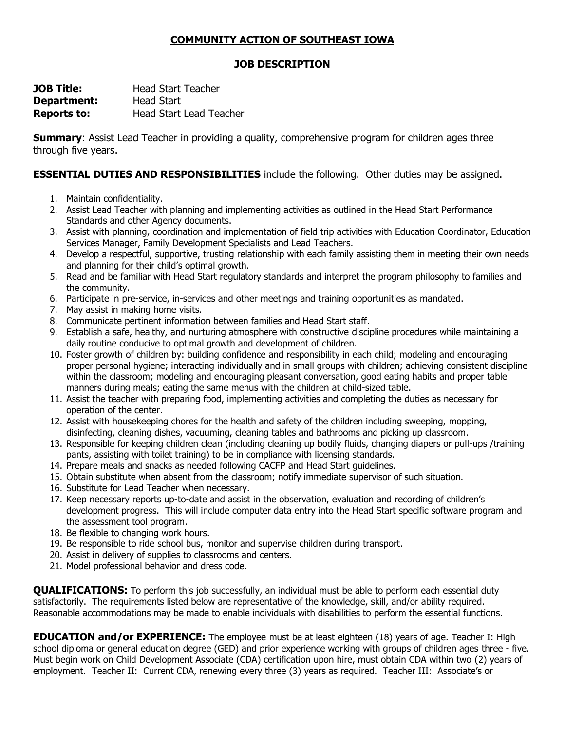## **COMMUNITY ACTION OF SOUTHEAST IOWA**

## **JOB DESCRIPTION**

**JOB Title:** Head Start Teacher **Department:** Head Start **Reports to:** Head Start Lead Teacher

**Summary:** Assist Lead Teacher in providing a quality, comprehensive program for children ages three through five years.

## **ESSENTIAL DUTIES AND RESPONSIBILITIES** include the following. Other duties may be assigned.

- 1. Maintain confidentiality.
- 2. Assist Lead Teacher with planning and implementing activities as outlined in the Head Start Performance Standards and other Agency documents.
- 3. Assist with planning, coordination and implementation of field trip activities with Education Coordinator, Education Services Manager, Family Development Specialists and Lead Teachers.
- 4. Develop a respectful, supportive, trusting relationship with each family assisting them in meeting their own needs and planning for their child's optimal growth.
- 5. Read and be familiar with Head Start regulatory standards and interpret the program philosophy to families and the community.
- 6. Participate in pre-service, in-services and other meetings and training opportunities as mandated.
- 7. May assist in making home visits.
- 8. Communicate pertinent information between families and Head Start staff.
- 9. Establish a safe, healthy, and nurturing atmosphere with constructive discipline procedures while maintaining a daily routine conducive to optimal growth and development of children.
- 10. Foster growth of children by: building confidence and responsibility in each child; modeling and encouraging proper personal hygiene; interacting individually and in small groups with children; achieving consistent discipline within the classroom; modeling and encouraging pleasant conversation, good eating habits and proper table manners during meals; eating the same menus with the children at child-sized table.
- 11. Assist the teacher with preparing food, implementing activities and completing the duties as necessary for operation of the center.
- 12. Assist with housekeeping chores for the health and safety of the children including sweeping, mopping, disinfecting, cleaning dishes, vacuuming, cleaning tables and bathrooms and picking up classroom.
- 13. Responsible for keeping children clean (including cleaning up bodily fluids, changing diapers or pull-ups /training pants, assisting with toilet training) to be in compliance with licensing standards.
- 14. Prepare meals and snacks as needed following CACFP and Head Start guidelines.
- 15. Obtain substitute when absent from the classroom; notify immediate supervisor of such situation.
- 16. Substitute for Lead Teacher when necessary.
- 17. Keep necessary reports up-to-date and assist in the observation, evaluation and recording of children's development progress. This will include computer data entry into the Head Start specific software program and the assessment tool program.
- 18. Be flexible to changing work hours.
- 19. Be responsible to ride school bus, monitor and supervise children during transport.
- 20. Assist in delivery of supplies to classrooms and centers.
- 21. Model professional behavior and dress code.

**QUALIFICATIONS:** To perform this job successfully, an individual must be able to perform each essential duty satisfactorily. The requirements listed below are representative of the knowledge, skill, and/or ability required. Reasonable accommodations may be made to enable individuals with disabilities to perform the essential functions.

**EDUCATION and/or EXPERIENCE:** The employee must be at least eighteen (18) years of age. Teacher I: High school diploma or general education degree (GED) and prior experience working with groups of children ages three - five. Must begin work on Child Development Associate (CDA) certification upon hire, must obtain CDA within two (2) years of employment. Teacher II: Current CDA, renewing every three (3) years as required. Teacher III: Associate's or